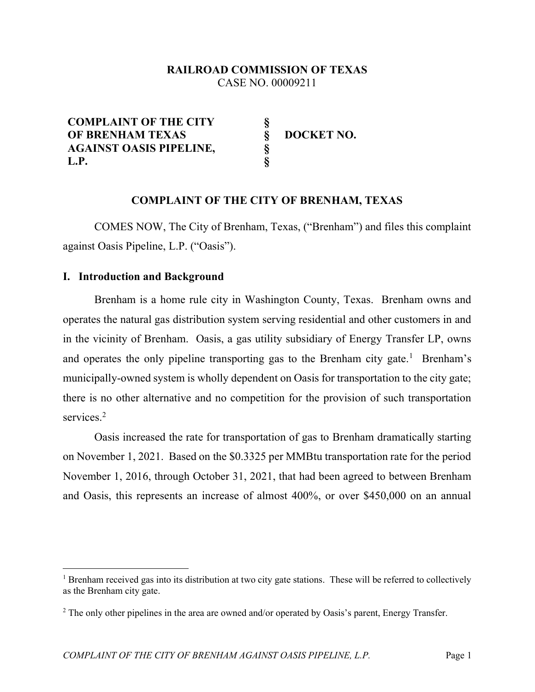## RAILROAD COMMISSION OF TEXAS CASE NO. 00009211

COMPLAINT OF THE CITY OF BRENHAM TEXAS AGAINST OASIS PIPELINE, L.P. § § § § DOCKET NO.

## COMPLAINT OF THE CITY OF BRENHAM, TEXAS

COMES NOW, The City of Brenham, Texas, ("Brenham") and files this complaint against Oasis Pipeline, L.P. ("Oasis").

#### I. Introduction and Background

Brenham is a home rule city in Washington County, Texas. Brenham owns and operates the natural gas distribution system serving residential and other customers in and in the vicinity of Brenham. Oasis, a gas utility subsidiary of Energy Transfer LP, owns and operates the only pipeline transporting gas to the Brenham city gate.<sup>1</sup> Brenham's municipally-owned system is wholly dependent on Oasis for transportation to the city gate; there is no other alternative and no competition for the provision of such transportation services.<sup>2</sup>

Oasis increased the rate for transportation of gas to Brenham dramatically starting on November 1, 2021. Based on the \$0.3325 per MMBtu transportation rate for the period November 1, 2016, through October 31, 2021, that had been agreed to between Brenham and Oasis, this represents an increase of almost 400%, or over \$450,000 on an annual

<sup>&</sup>lt;sup>1</sup> Brenham received gas into its distribution at two city gate stations. These will be referred to collectively as the Brenham city gate.

<sup>&</sup>lt;sup>2</sup> The only other pipelines in the area are owned and/or operated by Oasis's parent, Energy Transfer.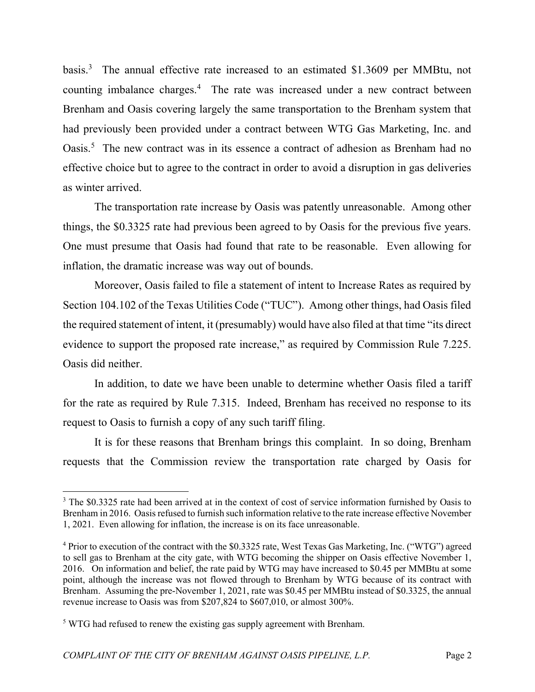basis.<sup>3</sup> The annual effective rate increased to an estimated \$1.3609 per MMBtu, not counting imbalance charges.<sup>4</sup> The rate was increased under a new contract between Brenham and Oasis covering largely the same transportation to the Brenham system that had previously been provided under a contract between WTG Gas Marketing, Inc. and Oasis.<sup>5</sup> The new contract was in its essence a contract of adhesion as Brenham had no effective choice but to agree to the contract in order to avoid a disruption in gas deliveries as winter arrived.

The transportation rate increase by Oasis was patently unreasonable. Among other things, the \$0.3325 rate had previous been agreed to by Oasis for the previous five years. One must presume that Oasis had found that rate to be reasonable. Even allowing for inflation, the dramatic increase was way out of bounds.

Moreover, Oasis failed to file a statement of intent to Increase Rates as required by Section 104.102 of the Texas Utilities Code ("TUC"). Among other things, had Oasis filed the required statement of intent, it (presumably) would have also filed at that time "its direct evidence to support the proposed rate increase," as required by Commission Rule 7.225. Oasis did neither.

In addition, to date we have been unable to determine whether Oasis filed a tariff for the rate as required by Rule 7.315. Indeed, Brenham has received no response to its request to Oasis to furnish a copy of any such tariff filing.

It is for these reasons that Brenham brings this complaint. In so doing, Brenham requests that the Commission review the transportation rate charged by Oasis for

<sup>&</sup>lt;sup>3</sup> The \$0.3325 rate had been arrived at in the context of cost of service information furnished by Oasis to Brenham in 2016. Oasis refused to furnish such information relative to the rate increase effective November 1, 2021. Even allowing for inflation, the increase is on its face unreasonable.

<sup>&</sup>lt;sup>4</sup> Prior to execution of the contract with the \$0.3325 rate, West Texas Gas Marketing, Inc. ("WTG") agreed to sell gas to Brenham at the city gate, with WTG becoming the shipper on Oasis effective November 1, 2016. On information and belief, the rate paid by WTG may have increased to \$0.45 per MMBtu at some point, although the increase was not flowed through to Brenham by WTG because of its contract with Brenham. Assuming the pre-November 1, 2021, rate was \$0.45 per MMBtu instead of \$0.3325, the annual revenue increase to Oasis was from \$207,824 to \$607,010, or almost 300%.

 $<sup>5</sup>$  WTG had refused to renew the existing gas supply agreement with Brenham.</sup>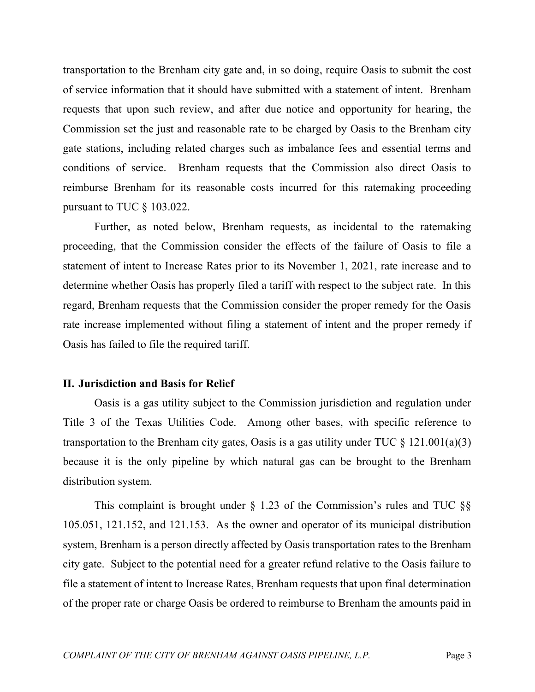transportation to the Brenham city gate and, in so doing, require Oasis to submit the cost of service information that it should have submitted with a statement of intent. Brenham requests that upon such review, and after due notice and opportunity for hearing, the Commission set the just and reasonable rate to be charged by Oasis to the Brenham city gate stations, including related charges such as imbalance fees and essential terms and conditions of service. Brenham requests that the Commission also direct Oasis to reimburse Brenham for its reasonable costs incurred for this ratemaking proceeding pursuant to TUC § 103.022.

Further, as noted below, Brenham requests, as incidental to the ratemaking proceeding, that the Commission consider the effects of the failure of Oasis to file a statement of intent to Increase Rates prior to its November 1, 2021, rate increase and to determine whether Oasis has properly filed a tariff with respect to the subject rate. In this regard, Brenham requests that the Commission consider the proper remedy for the Oasis rate increase implemented without filing a statement of intent and the proper remedy if Oasis has failed to file the required tariff.

#### II. Jurisdiction and Basis for Relief

 Oasis is a gas utility subject to the Commission jurisdiction and regulation under Title 3 of the Texas Utilities Code. Among other bases, with specific reference to transportation to the Brenham city gates, Oasis is a gas utility under TUC  $\S$  121.001(a)(3) because it is the only pipeline by which natural gas can be brought to the Brenham distribution system.

This complaint is brought under  $\S$  1.23 of the Commission's rules and TUC  $\S$ § 105.051, 121.152, and 121.153. As the owner and operator of its municipal distribution system, Brenham is a person directly affected by Oasis transportation rates to the Brenham city gate. Subject to the potential need for a greater refund relative to the Oasis failure to file a statement of intent to Increase Rates, Brenham requests that upon final determination of the proper rate or charge Oasis be ordered to reimburse to Brenham the amounts paid in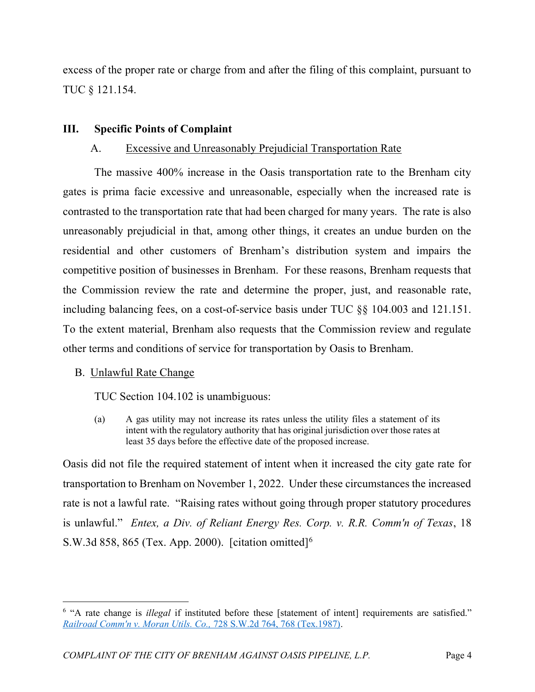excess of the proper rate or charge from and after the filing of this complaint, pursuant to TUC § 121.154.

## III. Specific Points of Complaint

## A. Excessive and Unreasonably Prejudicial Transportation Rate

 The massive 400% increase in the Oasis transportation rate to the Brenham city gates is prima facie excessive and unreasonable, especially when the increased rate is contrasted to the transportation rate that had been charged for many years. The rate is also unreasonably prejudicial in that, among other things, it creates an undue burden on the residential and other customers of Brenham's distribution system and impairs the competitive position of businesses in Brenham. For these reasons, Brenham requests that the Commission review the rate and determine the proper, just, and reasonable rate, including balancing fees, on a cost-of-service basis under TUC §§ 104.003 and 121.151. To the extent material, Brenham also requests that the Commission review and regulate other terms and conditions of service for transportation by Oasis to Brenham.

## B. Unlawful Rate Change

TUC Section 104.102 is unambiguous:

(a) A gas utility may not increase its rates unless the utility files a statement of its intent with the regulatory authority that has original jurisdiction over those rates at least 35 days before the effective date of the proposed increase.

Oasis did not file the required statement of intent when it increased the city gate rate for transportation to Brenham on November 1, 2022. Under these circumstances the increased rate is not a lawful rate. "Raising rates without going through proper statutory procedures is unlawful." Entex, a Div. of Reliant Energy Res. Corp. v. R.R. Comm'n of Texas, 18 S.W.3d 858, 865 (Tex. App. 2000). [citation omitted]<sup>6</sup>

 $6$  "A rate change is *illegal* if instituted before these [statement of intent] requirements are satisfied." Railroad Comm'n v. Moran Utils. Co., 728 S.W.2d 764, 768 (Tex.1987).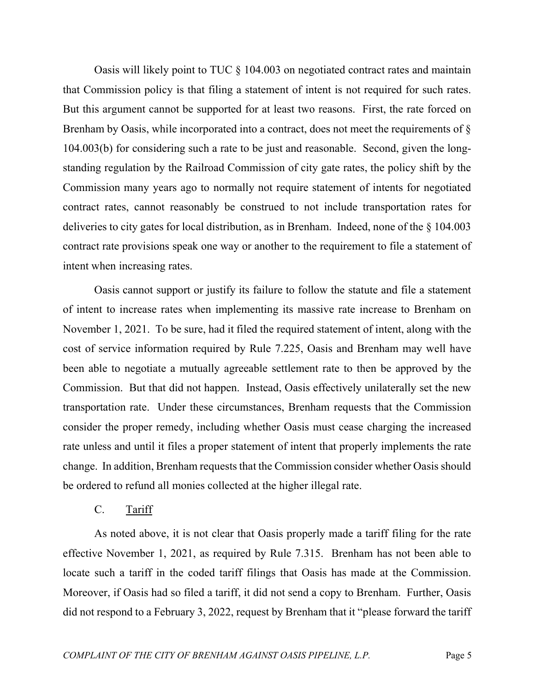Oasis will likely point to TUC § 104.003 on negotiated contract rates and maintain that Commission policy is that filing a statement of intent is not required for such rates. But this argument cannot be supported for at least two reasons. First, the rate forced on Brenham by Oasis, while incorporated into a contract, does not meet the requirements of § 104.003(b) for considering such a rate to be just and reasonable. Second, given the longstanding regulation by the Railroad Commission of city gate rates, the policy shift by the Commission many years ago to normally not require statement of intents for negotiated contract rates, cannot reasonably be construed to not include transportation rates for deliveries to city gates for local distribution, as in Brenham. Indeed, none of the § 104.003 contract rate provisions speak one way or another to the requirement to file a statement of intent when increasing rates.

 Oasis cannot support or justify its failure to follow the statute and file a statement of intent to increase rates when implementing its massive rate increase to Brenham on November 1, 2021. To be sure, had it filed the required statement of intent, along with the cost of service information required by Rule 7.225, Oasis and Brenham may well have been able to negotiate a mutually agreeable settlement rate to then be approved by the Commission. But that did not happen. Instead, Oasis effectively unilaterally set the new transportation rate. Under these circumstances, Brenham requests that the Commission consider the proper remedy, including whether Oasis must cease charging the increased rate unless and until it files a proper statement of intent that properly implements the rate change. In addition, Brenham requests that the Commission consider whether Oasis should be ordered to refund all monies collected at the higher illegal rate.

### C. Tariff

 As noted above, it is not clear that Oasis properly made a tariff filing for the rate effective November 1, 2021, as required by Rule 7.315. Brenham has not been able to locate such a tariff in the coded tariff filings that Oasis has made at the Commission. Moreover, if Oasis had so filed a tariff, it did not send a copy to Brenham. Further, Oasis did not respond to a February 3, 2022, request by Brenham that it "please forward the tariff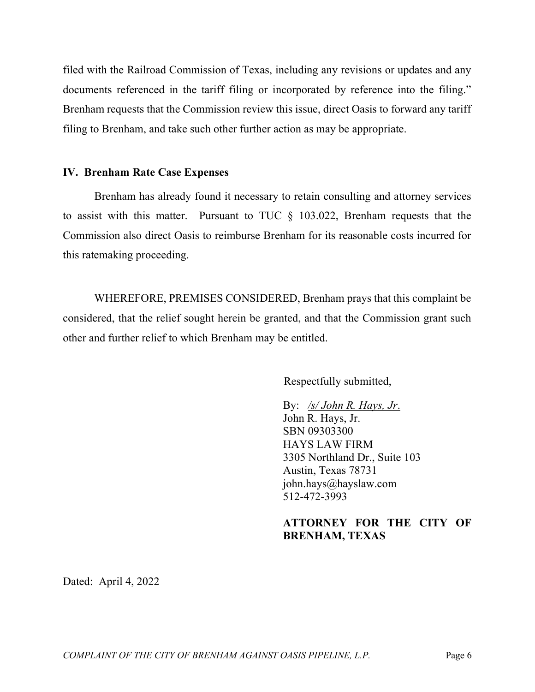filed with the Railroad Commission of Texas, including any revisions or updates and any documents referenced in the tariff filing or incorporated by reference into the filing." Brenham requests that the Commission review this issue, direct Oasis to forward any tariff filing to Brenham, and take such other further action as may be appropriate.

### IV. Brenham Rate Case Expenses

Brenham has already found it necessary to retain consulting and attorney services to assist with this matter. Pursuant to TUC § 103.022, Brenham requests that the Commission also direct Oasis to reimburse Brenham for its reasonable costs incurred for this ratemaking proceeding.

 WHEREFORE, PREMISES CONSIDERED, Brenham prays that this complaint be considered, that the relief sought herein be granted, and that the Commission grant such other and further relief to which Brenham may be entitled.

Respectfully submitted,

By:  $\sqrt{s}$  John R. Hays, Jr. John R. Hays, Jr. SBN 09303300 HAYS LAW FIRM 3305 Northland Dr., Suite 103 Austin, Texas 78731 john.hays@hayslaw.com 512-472-3993

# ATTORNEY FOR THE CITY OF BRENHAM, TEXAS

Dated: April 4, 2022